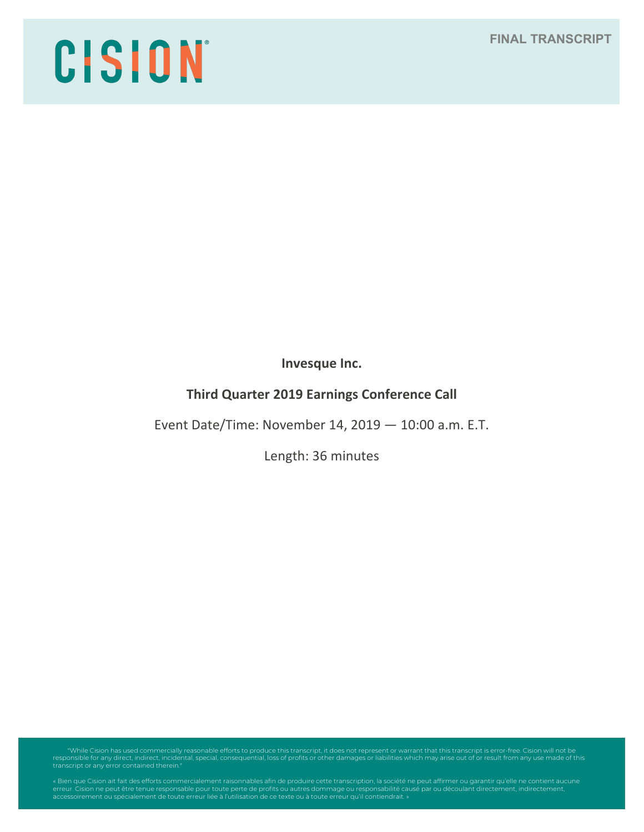# **FINAL TRANSCRIPT**

# CISION

**Invesque Inc.**

# **Third Quarter 2019 Earnings Conference Call**

Event Date/Time: November 14, 2019 — 10:00 a.m. E.T.

Length: 36 minutes

"While Cision has used commercially reasonable efforts to produce this transcript, it does not represent or warrant that this transcript is error-free. Cision will not be<br>responsible for any direct, indirect, incidental, s

erreur. Cision ne peut être tenue responsable pour toute perte de profits ou autres dommage ou responsabilité causé par ou découlant directement, indirectement,<br>accessoirement ou spécialement de toute erreur liée à l'utili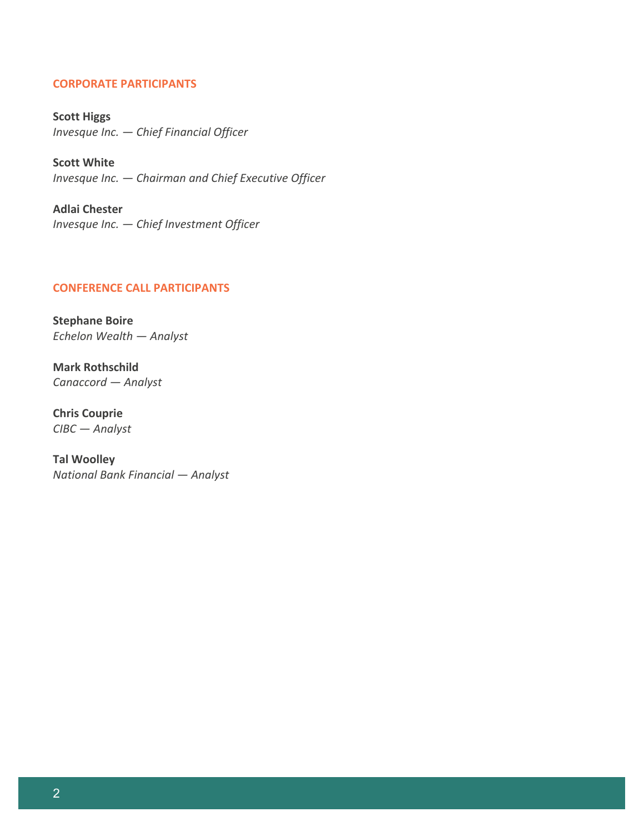# **CORPORATE PARTICIPANTS**

**Scott Higgs** *Invesque Inc. — Chief Financial Officer*

**Scott White** *Invesque Inc. — Chairman and Chief Executive Officer*

**Adlai Chester** *Invesque Inc. — Chief Investment Officer*

# **CONFERENCE CALL PARTICIPANTS**

**Stephane Boire** *Echelon Wealth — Analyst*

**Mark Rothschild** *Canaccord — Analyst*

**Chris Couprie** *CIBC — Analyst*

**Tal Woolley** *National Bank Financial — Analyst*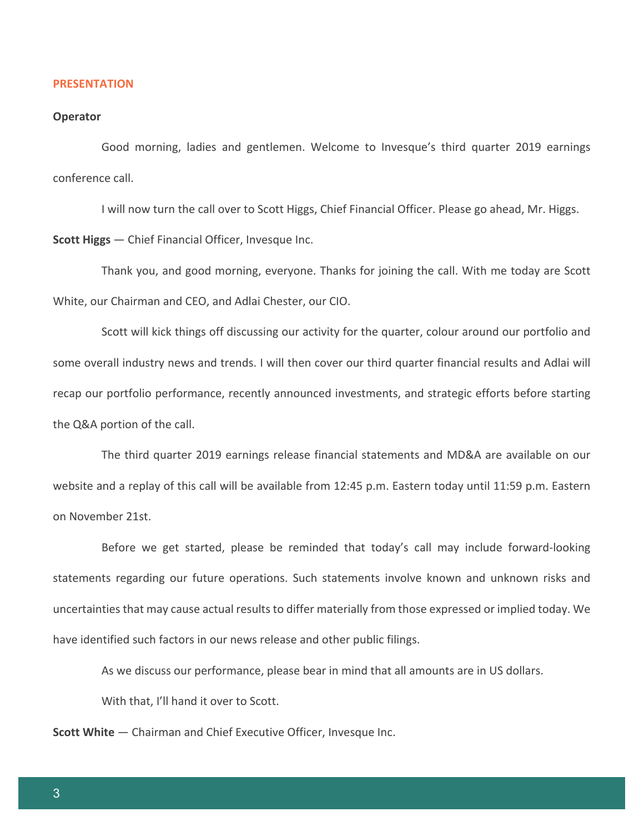#### **PRESENTATION**

#### **Operator**

Good morning, ladies and gentlemen. Welcome to Invesque's third quarter 2019 earnings conference call.

I will now turn the call over to Scott Higgs, Chief Financial Officer. Please go ahead, Mr. Higgs.

**Scott Higgs** — Chief Financial Officer, Invesque Inc.

Thank you, and good morning, everyone. Thanks for joining the call. With me today are Scott White, our Chairman and CEO, and Adlai Chester, our CIO.

Scott will kick things off discussing our activity for the quarter, colour around our portfolio and some overall industry news and trends. I will then cover our third quarter financial results and Adlai will recap our portfolio performance, recently announced investments, and strategic efforts before starting the Q&A portion of the call.

The third quarter 2019 earnings release financial statements and MD&A are available on our website and a replay of this call will be available from 12:45 p.m. Eastern today until 11:59 p.m. Eastern on November 21st.

Before we get started, please be reminded that today's call may include forward-looking statements regarding our future operations. Such statements involve known and unknown risks and uncertainties that may cause actual results to differ materially from those expressed or implied today. We have identified such factors in our news release and other public filings.

As we discuss our performance, please bear in mind that all amounts are in US dollars.

With that, I'll hand it over to Scott.

**Scott White** — Chairman and Chief Executive Officer, Invesque Inc.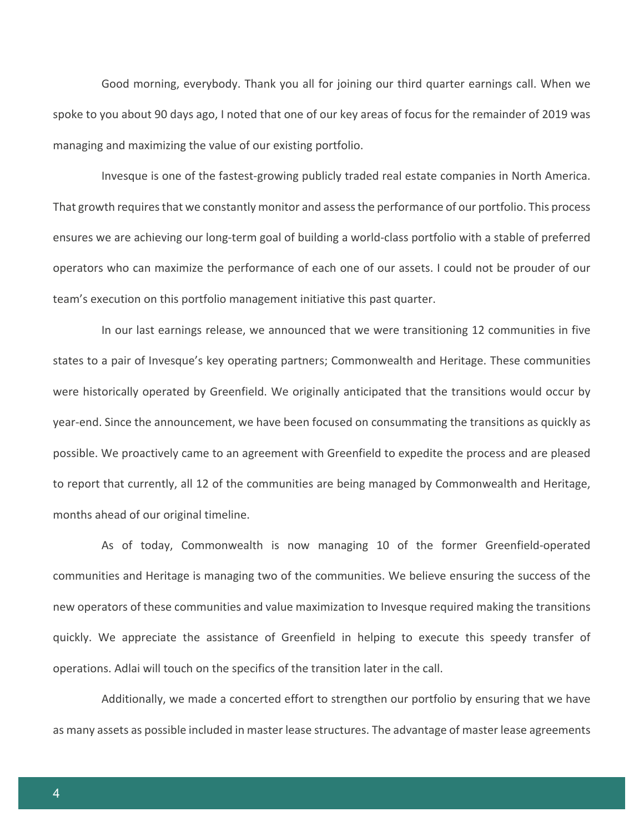Good morning, everybody. Thank you all for joining our third quarter earnings call. When we spoke to you about 90 days ago, I noted that one of our key areas of focus for the remainder of 2019 was managing and maximizing the value of our existing portfolio.

Invesque is one of the fastest-growing publicly traded real estate companies in North America. That growth requires that we constantly monitor and assess the performance of our portfolio. This process ensures we are achieving our long-term goal of building a world-class portfolio with a stable of preferred operators who can maximize the performance of each one of our assets. I could not be prouder of our team's execution on this portfolio management initiative this past quarter.

In our last earnings release, we announced that we were transitioning 12 communities in five states to a pair of Invesque's key operating partners; Commonwealth and Heritage. These communities were historically operated by Greenfield. We originally anticipated that the transitions would occur by year-end. Since the announcement, we have been focused on consummating the transitions as quickly as possible. We proactively came to an agreement with Greenfield to expedite the process and are pleased to report that currently, all 12 of the communities are being managed by Commonwealth and Heritage, months ahead of our original timeline.

As of today, Commonwealth is now managing 10 of the former Greenfield-operated communities and Heritage is managing two of the communities. We believe ensuring the success of the new operators of these communities and value maximization to Invesque required making the transitions quickly. We appreciate the assistance of Greenfield in helping to execute this speedy transfer of operations. Adlai will touch on the specifics of the transition later in the call.

Additionally, we made a concerted effort to strengthen our portfolio by ensuring that we have as many assets as possible included in master lease structures. The advantage of master lease agreements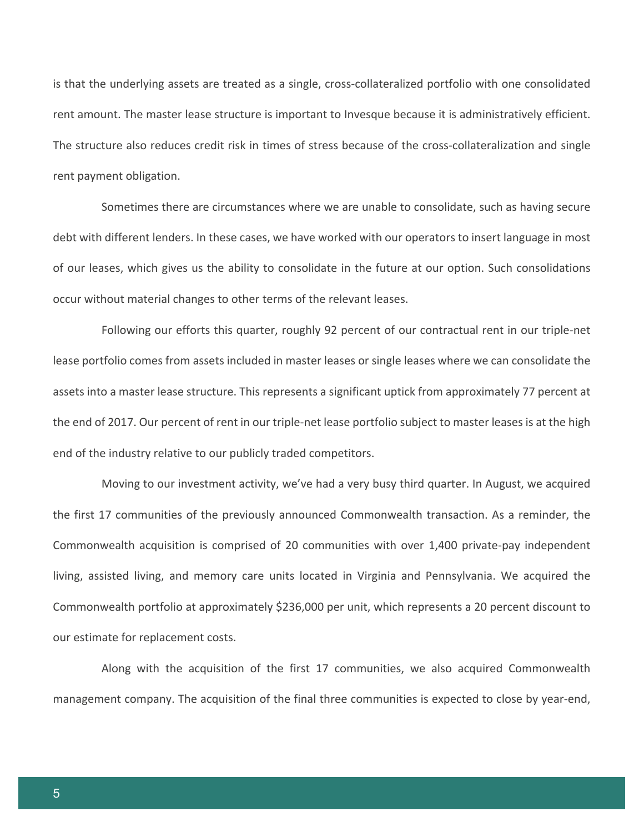is that the underlying assets are treated as a single, cross-collateralized portfolio with one consolidated rent amount. The master lease structure is important to Invesque because it is administratively efficient. The structure also reduces credit risk in times of stress because of the cross-collateralization and single rent payment obligation.

Sometimes there are circumstances where we are unable to consolidate, such as having secure debt with different lenders. In these cases, we have worked with our operators to insert language in most of our leases, which gives us the ability to consolidate in the future at our option. Such consolidations occur without material changes to other terms of the relevant leases.

Following our efforts this quarter, roughly 92 percent of our contractual rent in our triple-net lease portfolio comes from assets included in master leases or single leases where we can consolidate the assets into a master lease structure. This represents a significant uptick from approximately 77 percent at the end of 2017. Our percent of rent in our triple-net lease portfolio subject to master leases is at the high end of the industry relative to our publicly traded competitors.

Moving to our investment activity, we've had a very busy third quarter. In August, we acquired the first 17 communities of the previously announced Commonwealth transaction. As a reminder, the Commonwealth acquisition is comprised of 20 communities with over 1,400 private-pay independent living, assisted living, and memory care units located in Virginia and Pennsylvania. We acquired the Commonwealth portfolio at approximately \$236,000 per unit, which represents a 20 percent discount to our estimate for replacement costs.

Along with the acquisition of the first 17 communities, we also acquired Commonwealth management company. The acquisition of the final three communities is expected to close by year-end,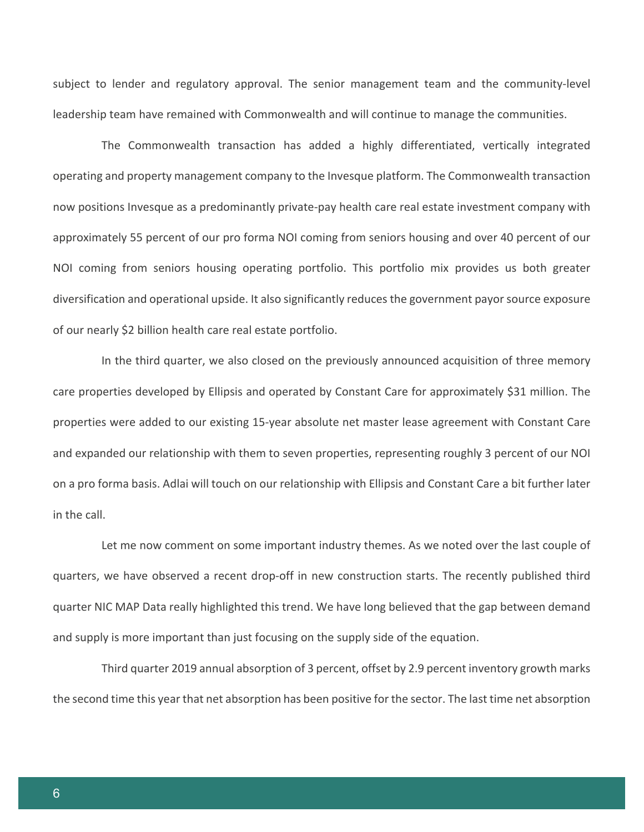subject to lender and regulatory approval. The senior management team and the community-level leadership team have remained with Commonwealth and will continue to manage the communities.

The Commonwealth transaction has added a highly differentiated, vertically integrated operating and property management company to the Invesque platform. The Commonwealth transaction now positions Invesque as a predominantly private-pay health care real estate investment company with approximately 55 percent of our pro forma NOI coming from seniors housing and over 40 percent of our NOI coming from seniors housing operating portfolio. This portfolio mix provides us both greater diversification and operational upside. It also significantly reduces the government payor source exposure of our nearly \$2 billion health care real estate portfolio.

In the third quarter, we also closed on the previously announced acquisition of three memory care properties developed by Ellipsis and operated by Constant Care for approximately \$31 million. The properties were added to our existing 15-year absolute net master lease agreement with Constant Care and expanded our relationship with them to seven properties, representing roughly 3 percent of our NOI on a pro forma basis. Adlai will touch on our relationship with Ellipsis and Constant Care a bit further later in the call.

Let me now comment on some important industry themes. As we noted over the last couple of quarters, we have observed a recent drop-off in new construction starts. The recently published third quarter NIC MAP Data really highlighted this trend. We have long believed that the gap between demand and supply is more important than just focusing on the supply side of the equation.

Third quarter 2019 annual absorption of 3 percent, offset by 2.9 percent inventory growth marks the second time this year that net absorption has been positive for the sector. The last time net absorption

6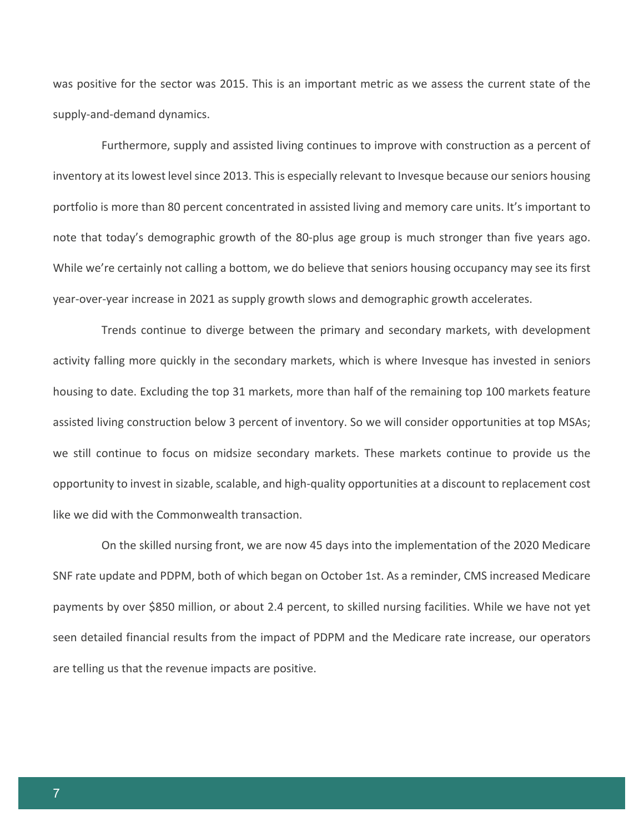was positive for the sector was 2015. This is an important metric as we assess the current state of the supply-and-demand dynamics.

Furthermore, supply and assisted living continues to improve with construction as a percent of inventory at its lowest level since 2013. This is especially relevant to Invesque because our seniors housing portfolio is more than 80 percent concentrated in assisted living and memory care units. It's important to note that today's demographic growth of the 80-plus age group is much stronger than five years ago. While we're certainly not calling a bottom, we do believe that seniors housing occupancy may see its first year-over-year increase in 2021 as supply growth slows and demographic growth accelerates.

Trends continue to diverge between the primary and secondary markets, with development activity falling more quickly in the secondary markets, which is where Invesque has invested in seniors housing to date. Excluding the top 31 markets, more than half of the remaining top 100 markets feature assisted living construction below 3 percent of inventory. So we will consider opportunities at top MSAs; we still continue to focus on midsize secondary markets. These markets continue to provide us the opportunity to invest in sizable, scalable, and high-quality opportunities at a discount to replacement cost like we did with the Commonwealth transaction.

On the skilled nursing front, we are now 45 days into the implementation of the 2020 Medicare SNF rate update and PDPM, both of which began on October 1st. As a reminder, CMS increased Medicare payments by over \$850 million, or about 2.4 percent, to skilled nursing facilities. While we have not yet seen detailed financial results from the impact of PDPM and the Medicare rate increase, our operators are telling us that the revenue impacts are positive.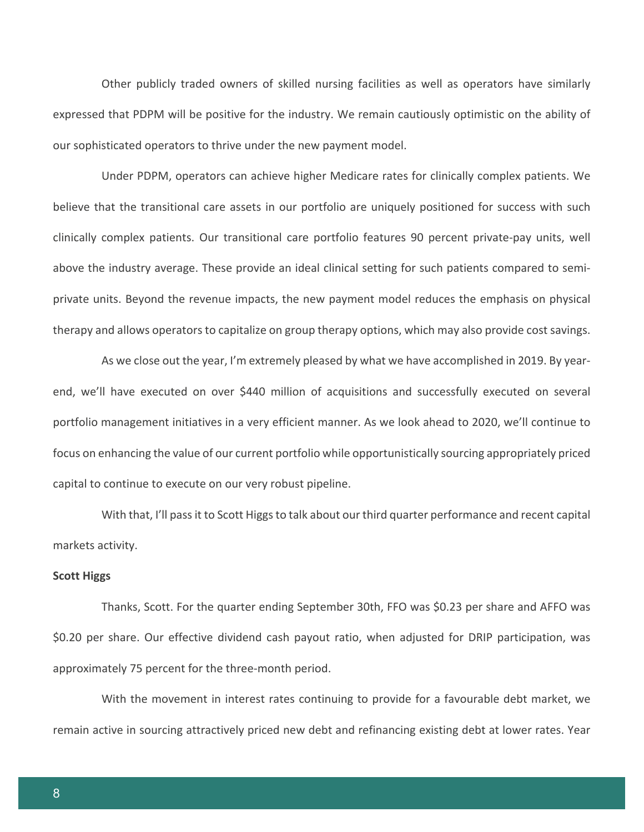Other publicly traded owners of skilled nursing facilities as well as operators have similarly expressed that PDPM will be positive for the industry. We remain cautiously optimistic on the ability of our sophisticated operators to thrive under the new payment model.

Under PDPM, operators can achieve higher Medicare rates for clinically complex patients. We believe that the transitional care assets in our portfolio are uniquely positioned for success with such clinically complex patients. Our transitional care portfolio features 90 percent private-pay units, well above the industry average. These provide an ideal clinical setting for such patients compared to semiprivate units. Beyond the revenue impacts, the new payment model reduces the emphasis on physical therapy and allows operators to capitalize on group therapy options, which may also provide cost savings.

As we close out the year, I'm extremely pleased by what we have accomplished in 2019. By yearend, we'll have executed on over \$440 million of acquisitions and successfully executed on several portfolio management initiatives in a very efficient manner. As we look ahead to 2020, we'll continue to focus on enhancing the value of our current portfolio while opportunistically sourcing appropriately priced capital to continue to execute on our very robust pipeline.

With that, I'll pass it to Scott Higgs to talk about our third quarter performance and recent capital markets activity.

#### **Scott Higgs**

Thanks, Scott. For the quarter ending September 30th, FFO was \$0.23 per share and AFFO was \$0.20 per share. Our effective dividend cash payout ratio, when adjusted for DRIP participation, was approximately 75 percent for the three-month period.

With the movement in interest rates continuing to provide for a favourable debt market, we remain active in sourcing attractively priced new debt and refinancing existing debt at lower rates. Year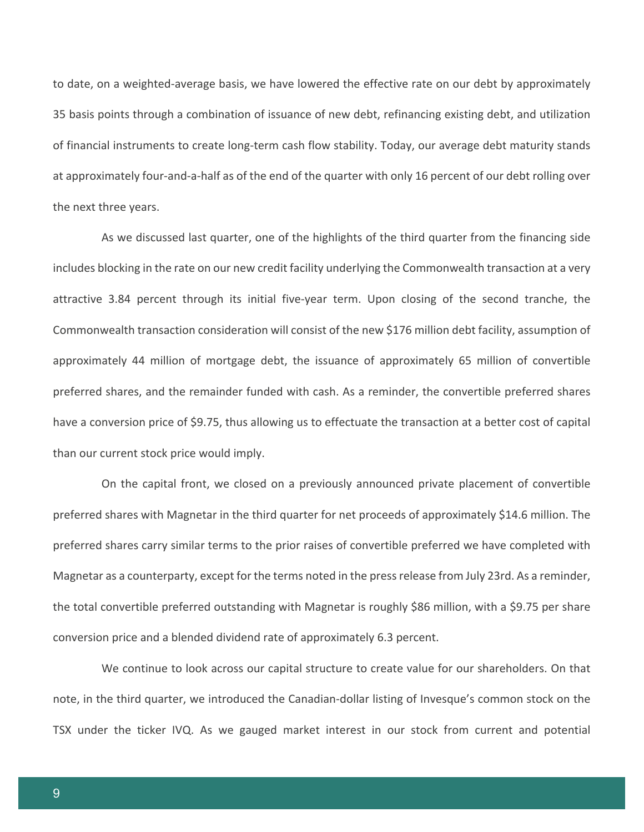to date, on a weighted-average basis, we have lowered the effective rate on our debt by approximately 35 basis points through a combination of issuance of new debt, refinancing existing debt, and utilization of financial instruments to create long-term cash flow stability. Today, our average debt maturity stands at approximately four-and-a-half as of the end of the quarter with only 16 percent of our debt rolling over the next three years.

As we discussed last quarter, one of the highlights of the third quarter from the financing side includes blocking in the rate on our new credit facility underlying the Commonwealth transaction at a very attractive 3.84 percent through its initial five-year term. Upon closing of the second tranche, the Commonwealth transaction consideration will consist of the new \$176 million debt facility, assumption of approximately 44 million of mortgage debt, the issuance of approximately 65 million of convertible preferred shares, and the remainder funded with cash. As a reminder, the convertible preferred shares have a conversion price of \$9.75, thus allowing us to effectuate the transaction at a better cost of capital than our current stock price would imply.

On the capital front, we closed on a previously announced private placement of convertible preferred shares with Magnetar in the third quarter for net proceeds of approximately \$14.6 million. The preferred shares carry similar terms to the prior raises of convertible preferred we have completed with Magnetar as a counterparty, except for the terms noted in the press release from July 23rd. As a reminder, the total convertible preferred outstanding with Magnetar is roughly \$86 million, with a \$9.75 per share conversion price and a blended dividend rate of approximately 6.3 percent.

We continue to look across our capital structure to create value for our shareholders. On that note, in the third quarter, we introduced the Canadian-dollar listing of Invesque's common stock on the TSX under the ticker IVQ. As we gauged market interest in our stock from current and potential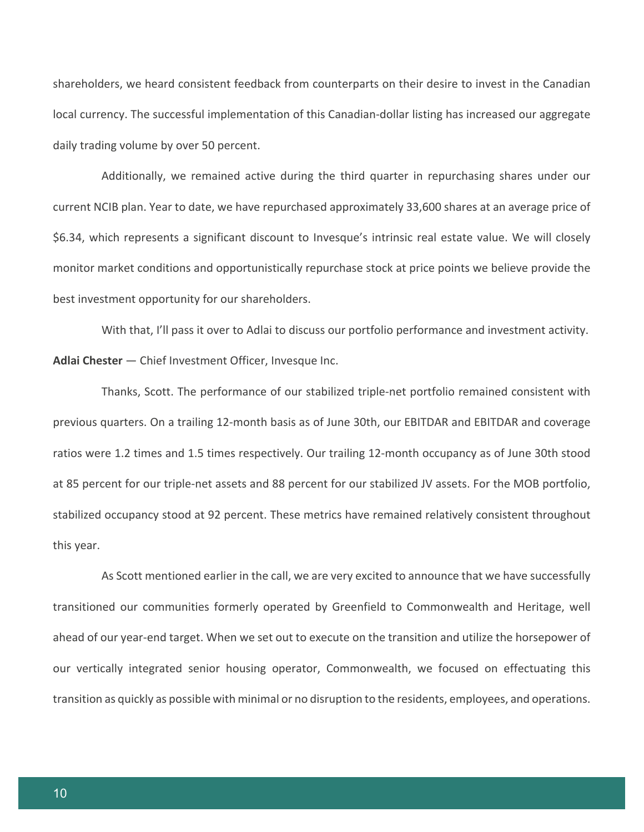shareholders, we heard consistent feedback from counterparts on their desire to invest in the Canadian local currency. The successful implementation of this Canadian-dollar listing has increased our aggregate daily trading volume by over 50 percent.

Additionally, we remained active during the third quarter in repurchasing shares under our current NCIB plan. Year to date, we have repurchased approximately 33,600 shares at an average price of \$6.34, which represents a significant discount to Invesque's intrinsic real estate value. We will closely monitor market conditions and opportunistically repurchase stock at price points we believe provide the best investment opportunity for our shareholders.

With that, I'll pass it over to Adlai to discuss our portfolio performance and investment activity. **Adlai Chester** — Chief Investment Officer, Invesque Inc.

Thanks, Scott. The performance of our stabilized triple-net portfolio remained consistent with previous quarters. On a trailing 12-month basis as of June 30th, our EBITDAR and EBITDAR and coverage ratios were 1.2 times and 1.5 times respectively. Our trailing 12-month occupancy as of June 30th stood at 85 percent for our triple-net assets and 88 percent for our stabilized JV assets. For the MOB portfolio, stabilized occupancy stood at 92 percent. These metrics have remained relatively consistent throughout this year.

As Scott mentioned earlier in the call, we are very excited to announce that we have successfully transitioned our communities formerly operated by Greenfield to Commonwealth and Heritage, well ahead of our year-end target. When we set out to execute on the transition and utilize the horsepower of our vertically integrated senior housing operator, Commonwealth, we focused on effectuating this transition as quickly as possible with minimal or no disruption to the residents, employees, and operations.

10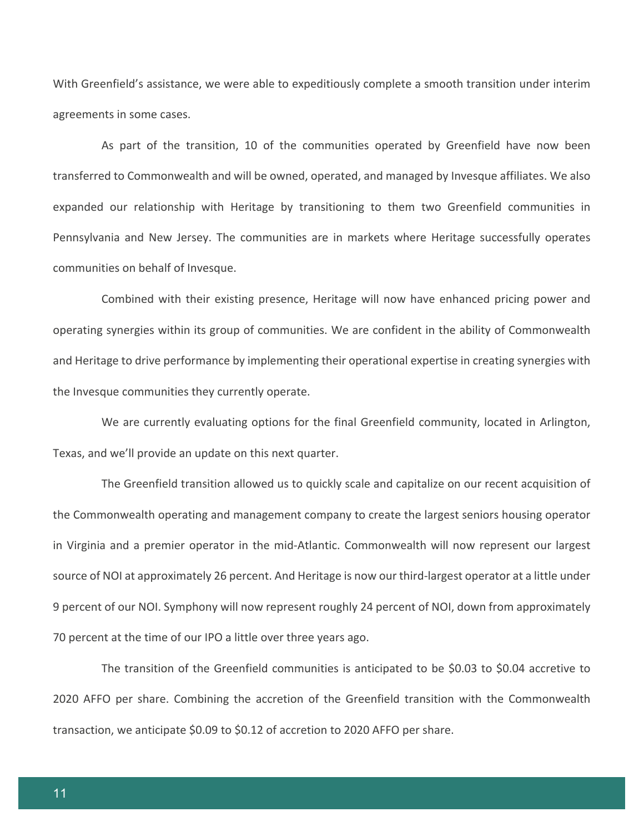With Greenfield's assistance, we were able to expeditiously complete a smooth transition under interim agreements in some cases.

As part of the transition, 10 of the communities operated by Greenfield have now been transferred to Commonwealth and will be owned, operated, and managed by Invesque affiliates. We also expanded our relationship with Heritage by transitioning to them two Greenfield communities in Pennsylvania and New Jersey. The communities are in markets where Heritage successfully operates communities on behalf of Invesque.

Combined with their existing presence, Heritage will now have enhanced pricing power and operating synergies within its group of communities. We are confident in the ability of Commonwealth and Heritage to drive performance by implementing their operational expertise in creating synergies with the Invesque communities they currently operate.

We are currently evaluating options for the final Greenfield community, located in Arlington, Texas, and we'll provide an update on this next quarter.

The Greenfield transition allowed us to quickly scale and capitalize on our recent acquisition of the Commonwealth operating and management company to create the largest seniors housing operator in Virginia and a premier operator in the mid-Atlantic. Commonwealth will now represent our largest source of NOI at approximately 26 percent. And Heritage is now our third-largest operator at a little under 9 percent of our NOI. Symphony will now represent roughly 24 percent of NOI, down from approximately 70 percent at the time of our IPO a little over three years ago.

The transition of the Greenfield communities is anticipated to be \$0.03 to \$0.04 accretive to 2020 AFFO per share. Combining the accretion of the Greenfield transition with the Commonwealth transaction, we anticipate \$0.09 to \$0.12 of accretion to 2020 AFFO per share.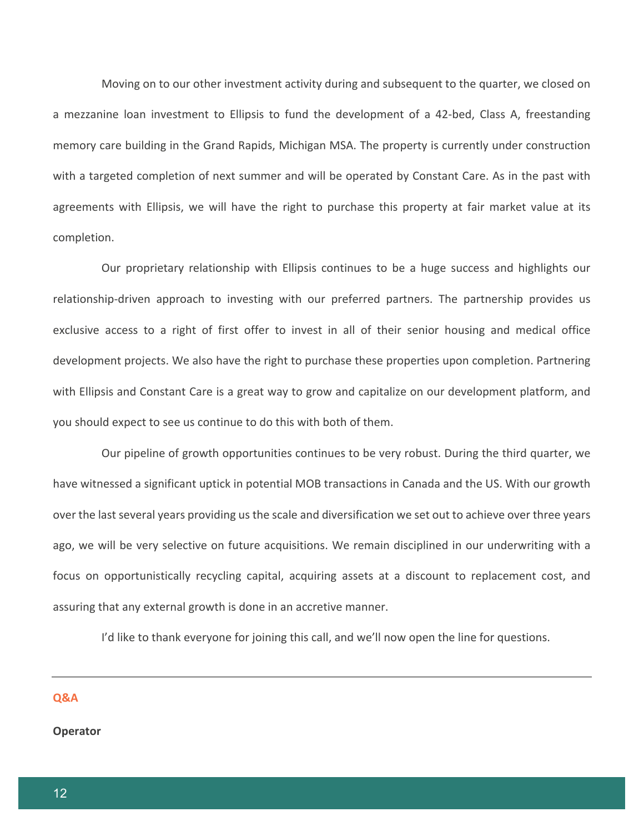Moving on to our other investment activity during and subsequent to the quarter, we closed on a mezzanine loan investment to Ellipsis to fund the development of a 42-bed, Class A, freestanding memory care building in the Grand Rapids, Michigan MSA. The property is currently under construction with a targeted completion of next summer and will be operated by Constant Care. As in the past with agreements with Ellipsis, we will have the right to purchase this property at fair market value at its completion.

Our proprietary relationship with Ellipsis continues to be a huge success and highlights our relationship-driven approach to investing with our preferred partners. The partnership provides us exclusive access to a right of first offer to invest in all of their senior housing and medical office development projects. We also have the right to purchase these properties upon completion. Partnering with Ellipsis and Constant Care is a great way to grow and capitalize on our development platform, and you should expect to see us continue to do this with both of them.

Our pipeline of growth opportunities continues to be very robust. During the third quarter, we have witnessed a significant uptick in potential MOB transactions in Canada and the US. With our growth over the last several years providing us the scale and diversification we set out to achieve over three years ago, we will be very selective on future acquisitions. We remain disciplined in our underwriting with a focus on opportunistically recycling capital, acquiring assets at a discount to replacement cost, and assuring that any external growth is done in an accretive manner.

I'd like to thank everyone for joining this call, and we'll now open the line for questions.

#### **Q&A**

#### **Operator**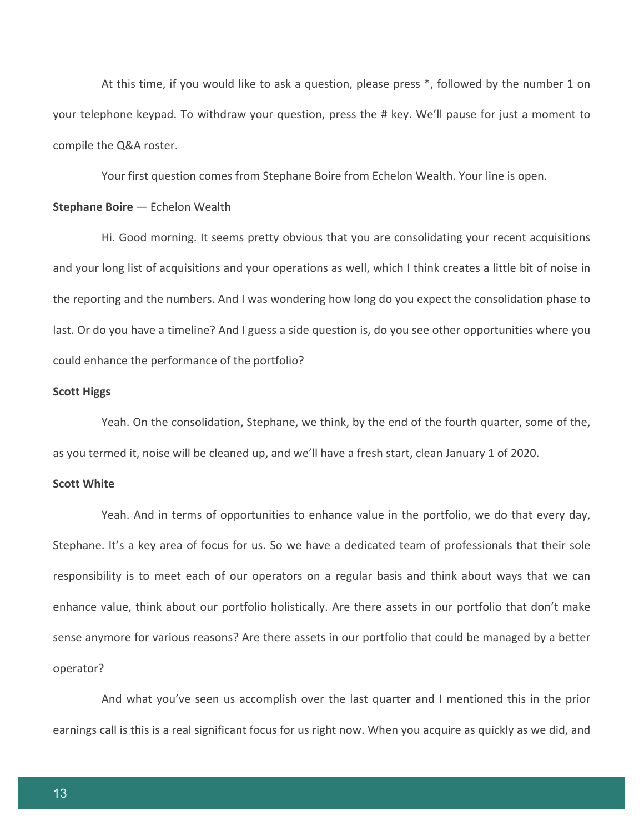At this time, if you would like to ask a question, please press \*, followed by the number 1 on your telephone keypad. To withdraw your question, press the # key. We'll pause for just a moment to compile the Q&A roster.

Your first question comes from Stephane Boire from Echelon Wealth. Your line is open.

#### **Stephane Boire** — Echelon Wealth

Hi. Good morning. It seems pretty obvious that you are consolidating your recent acquisitions and your long list of acquisitions and your operations as well, which I think creates a little bit of noise in the reporting and the numbers. And I was wondering how long do you expect the consolidation phase to last. Or do you have a timeline? And I guess a side question is, do you see other opportunities where you could enhance the performance of the portfolio?

#### **Scott Higgs**

Yeah. On the consolidation, Stephane, we think, by the end of the fourth quarter, some of the, as you termed it, noise will be cleaned up, and we'll have a fresh start, clean January 1 of 2020.

## **Scott White**

Yeah. And in terms of opportunities to enhance value in the portfolio, we do that every day, Stephane. It's a key area of focus for us. So we have a dedicated team of professionals that their sole responsibility is to meet each of our operators on a regular basis and think about ways that we can enhance value, think about our portfolio holistically. Are there assets in our portfolio that don't make sense anymore for various reasons? Are there assets in our portfolio that could be managed by a better operator?

And what you've seen us accomplish over the last quarter and I mentioned this in the prior earnings call is this is a real significant focus for us right now. When you acquire as quickly as we did, and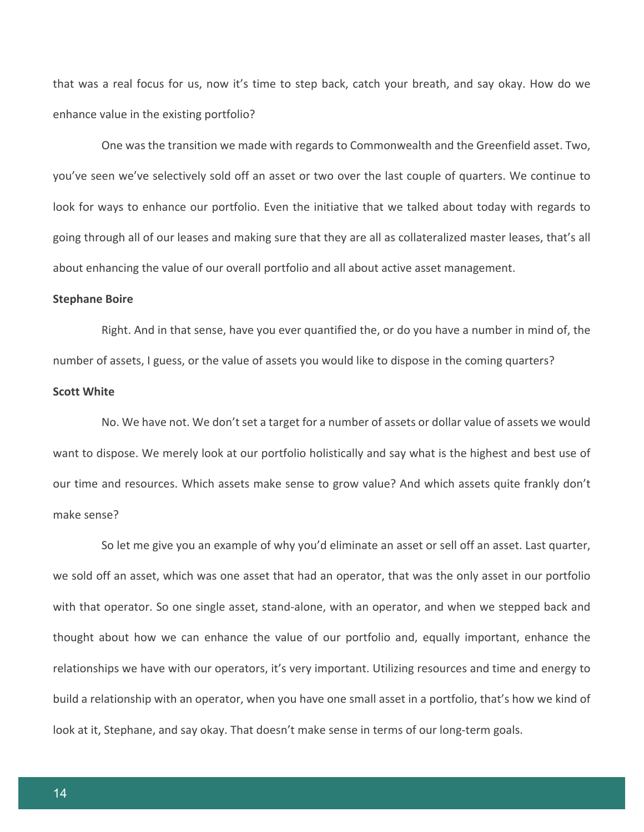that was a real focus for us, now it's time to step back, catch your breath, and say okay. How do we enhance value in the existing portfolio?

One was the transition we made with regards to Commonwealth and the Greenfield asset. Two, you've seen we've selectively sold off an asset or two over the last couple of quarters. We continue to look for ways to enhance our portfolio. Even the initiative that we talked about today with regards to going through all of our leases and making sure that they are all as collateralized master leases, that's all about enhancing the value of our overall portfolio and all about active asset management.

#### **Stephane Boire**

Right. And in that sense, have you ever quantified the, or do you have a number in mind of, the number of assets, I guess, or the value of assets you would like to dispose in the coming quarters?

### **Scott White**

No. We have not. We don't set a target for a number of assets or dollar value of assets we would want to dispose. We merely look at our portfolio holistically and say what is the highest and best use of our time and resources. Which assets make sense to grow value? And which assets quite frankly don't make sense?

So let me give you an example of why you'd eliminate an asset or sell off an asset. Last quarter, we sold off an asset, which was one asset that had an operator, that was the only asset in our portfolio with that operator. So one single asset, stand-alone, with an operator, and when we stepped back and thought about how we can enhance the value of our portfolio and, equally important, enhance the relationships we have with our operators, it's very important. Utilizing resources and time and energy to build a relationship with an operator, when you have one small asset in a portfolio, that's how we kind of look at it, Stephane, and say okay. That doesn't make sense in terms of our long-term goals.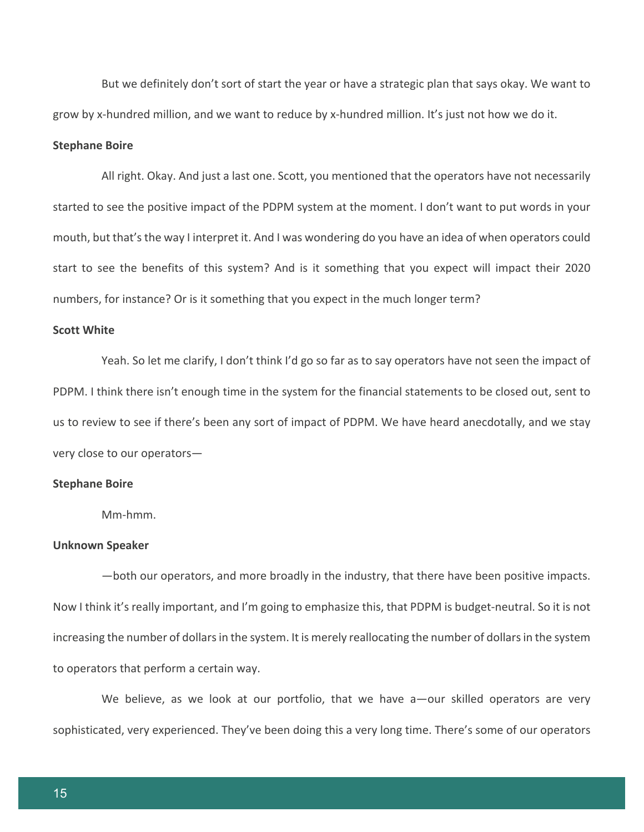But we definitely don't sort of start the year or have a strategic plan that says okay. We want to grow by x-hundred million, and we want to reduce by x-hundred million. It's just not how we do it.

#### **Stephane Boire**

All right. Okay. And just a last one. Scott, you mentioned that the operators have not necessarily started to see the positive impact of the PDPM system at the moment. I don't want to put words in your mouth, but that's the way I interpret it. And I was wondering do you have an idea of when operators could start to see the benefits of this system? And is it something that you expect will impact their 2020 numbers, for instance? Or is it something that you expect in the much longer term?

#### **Scott White**

Yeah. So let me clarify, I don't think I'd go so far as to say operators have not seen the impact of PDPM. I think there isn't enough time in the system for the financial statements to be closed out, sent to us to review to see if there's been any sort of impact of PDPM. We have heard anecdotally, and we stay very close to our operators—

#### **Stephane Boire**

Mm-hmm.

#### **Unknown Speaker**

—both our operators, and more broadly in the industry, that there have been positive impacts. Now I think it's really important, and I'm going to emphasize this, that PDPM is budget-neutral. So it is not increasing the number of dollars in the system. It is merely reallocating the number of dollars in the system to operators that perform a certain way.

We believe, as we look at our portfolio, that we have a-our skilled operators are very sophisticated, very experienced. They've been doing this a very long time. There's some of our operators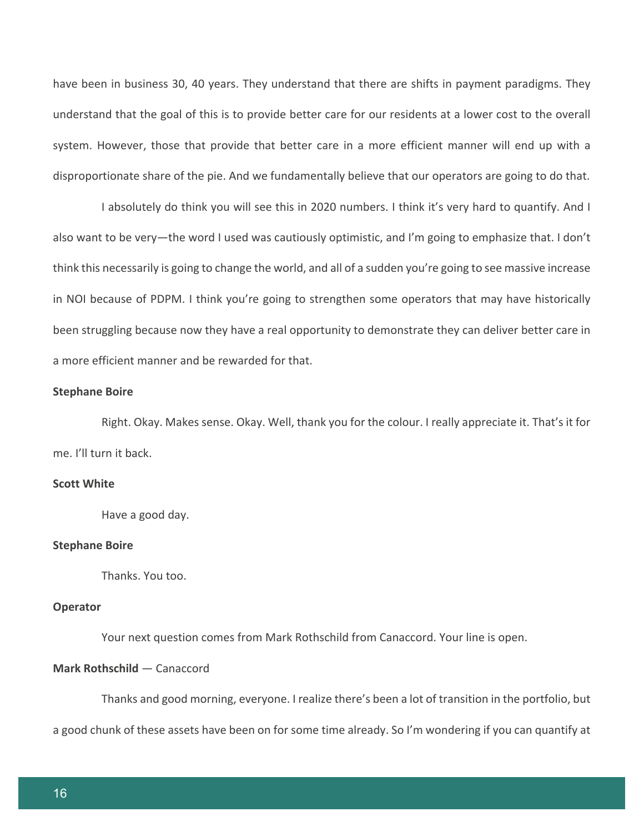have been in business 30, 40 years. They understand that there are shifts in payment paradigms. They understand that the goal of this is to provide better care for our residents at a lower cost to the overall system. However, those that provide that better care in a more efficient manner will end up with a disproportionate share of the pie. And we fundamentally believe that our operators are going to do that.

I absolutely do think you will see this in 2020 numbers. I think it's very hard to quantify. And I also want to be very—the word I used was cautiously optimistic, and I'm going to emphasize that. I don't think this necessarily is going to change the world, and all of a sudden you're going to see massive increase in NOI because of PDPM. I think you're going to strengthen some operators that may have historically been struggling because now they have a real opportunity to demonstrate they can deliver better care in a more efficient manner and be rewarded for that.

#### **Stephane Boire**

Right. Okay. Makes sense. Okay. Well, thank you for the colour. I really appreciate it. That's it for me. I'll turn it back.

## **Scott White**

Have a good day.

#### **Stephane Boire**

Thanks. You too.

# **Operator**

Your next question comes from Mark Rothschild from Canaccord. Your line is open.

# **Mark Rothschild** — Canaccord

Thanks and good morning, everyone. I realize there's been a lot of transition in the portfolio, but

a good chunk of these assets have been on for some time already. So I'm wondering if you can quantify at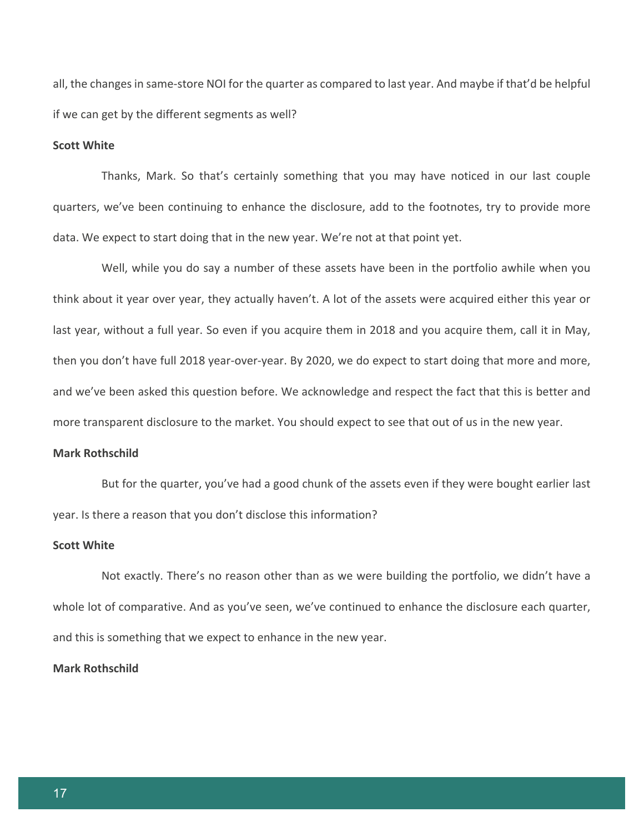all, the changes in same-store NOI for the quarter as compared to last year. And maybe if that'd be helpful if we can get by the different segments as well?

#### **Scott White**

Thanks, Mark. So that's certainly something that you may have noticed in our last couple quarters, we've been continuing to enhance the disclosure, add to the footnotes, try to provide more data. We expect to start doing that in the new year. We're not at that point yet.

Well, while you do say a number of these assets have been in the portfolio awhile when you think about it year over year, they actually haven't. A lot of the assets were acquired either this year or last year, without a full year. So even if you acquire them in 2018 and you acquire them, call it in May, then you don't have full 2018 year-over-year. By 2020, we do expect to start doing that more and more, and we've been asked this question before. We acknowledge and respect the fact that this is better and more transparent disclosure to the market. You should expect to see that out of us in the new year.

#### **Mark Rothschild**

But for the quarter, you've had a good chunk of the assets even if they were bought earlier last year. Is there a reason that you don't disclose this information?

#### **Scott White**

Not exactly. There's no reason other than as we were building the portfolio, we didn't have a whole lot of comparative. And as you've seen, we've continued to enhance the disclosure each quarter, and this is something that we expect to enhance in the new year.

#### **Mark Rothschild**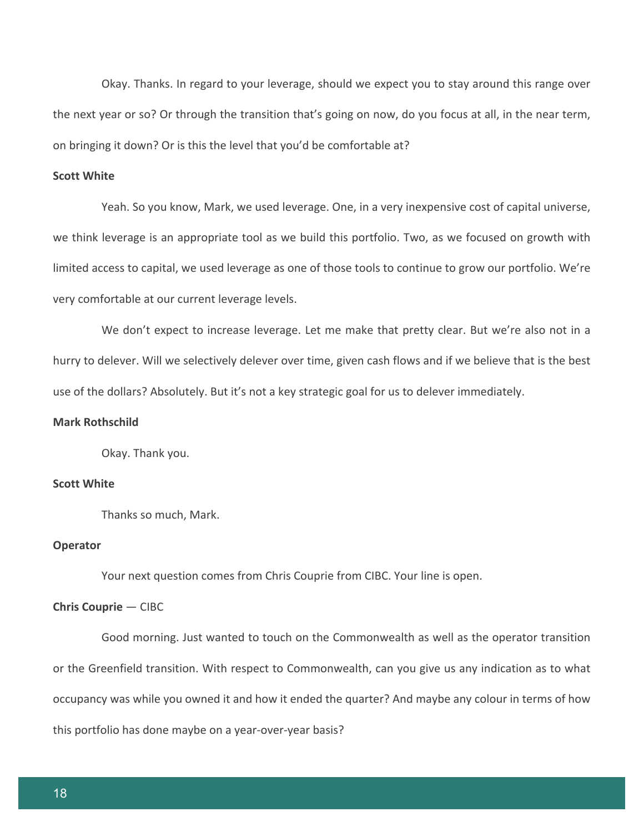Okay. Thanks. In regard to your leverage, should we expect you to stay around this range over the next year or so? Or through the transition that's going on now, do you focus at all, in the near term, on bringing it down? Or is this the level that you'd be comfortable at?

# **Scott White**

Yeah. So you know, Mark, we used leverage. One, in a very inexpensive cost of capital universe, we think leverage is an appropriate tool as we build this portfolio. Two, as we focused on growth with limited access to capital, we used leverage as one of those tools to continue to grow our portfolio. We're very comfortable at our current leverage levels.

We don't expect to increase leverage. Let me make that pretty clear. But we're also not in a hurry to delever. Will we selectively delever over time, given cash flows and if we believe that is the best use of the dollars? Absolutely. But it's not a key strategic goal for us to delever immediately.

# **Mark Rothschild**

Okay. Thank you.

#### **Scott White**

Thanks so much, Mark.

#### **Operator**

Your next question comes from Chris Couprie from CIBC. Your line is open.

#### **Chris Couprie** — CIBC

Good morning. Just wanted to touch on the Commonwealth as well as the operator transition or the Greenfield transition. With respect to Commonwealth, can you give us any indication as to what occupancy was while you owned it and how it ended the quarter? And maybe any colour in terms of how this portfolio has done maybe on a year-over-year basis?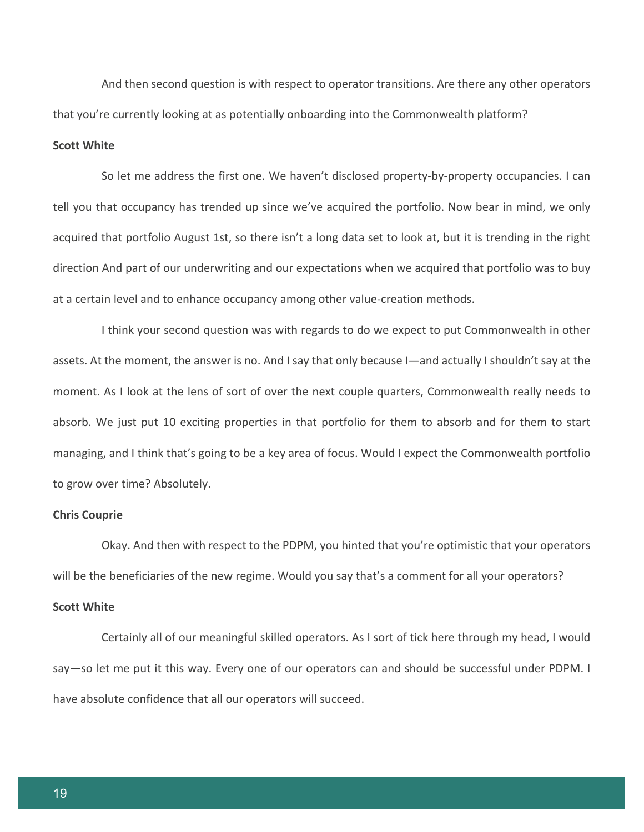And then second question is with respect to operator transitions. Are there any other operators that you're currently looking at as potentially onboarding into the Commonwealth platform?

#### **Scott White**

So let me address the first one. We haven't disclosed property-by-property occupancies. I can tell you that occupancy has trended up since we've acquired the portfolio. Now bear in mind, we only acquired that portfolio August 1st, so there isn't a long data set to look at, but it is trending in the right direction And part of our underwriting and our expectations when we acquired that portfolio was to buy at a certain level and to enhance occupancy among other value-creation methods.

I think your second question was with regards to do we expect to put Commonwealth in other assets. At the moment, the answer is no. And I say that only because I—and actually I shouldn't say at the moment. As I look at the lens of sort of over the next couple quarters, Commonwealth really needs to absorb. We just put 10 exciting properties in that portfolio for them to absorb and for them to start managing, and I think that's going to be a key area of focus. Would I expect the Commonwealth portfolio to grow over time? Absolutely.

#### **Chris Couprie**

Okay. And then with respect to the PDPM, you hinted that you're optimistic that your operators will be the beneficiaries of the new regime. Would you say that's a comment for all your operators?

# **Scott White**

Certainly all of our meaningful skilled operators. As I sort of tick here through my head, I would say—so let me put it this way. Every one of our operators can and should be successful under PDPM. I have absolute confidence that all our operators will succeed.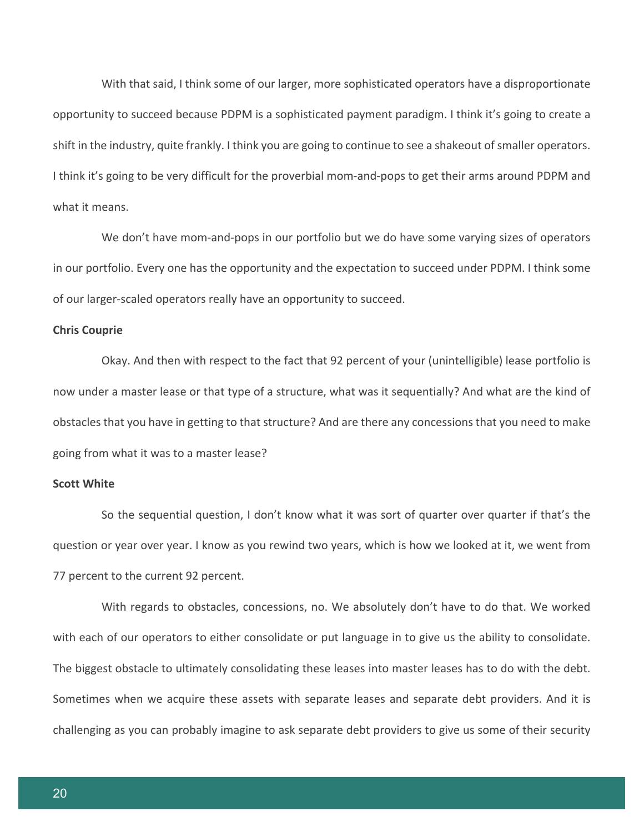With that said, I think some of our larger, more sophisticated operators have a disproportionate opportunity to succeed because PDPM is a sophisticated payment paradigm. I think it's going to create a shift in the industry, quite frankly. I think you are going to continue to see a shakeout of smaller operators. I think it's going to be very difficult for the proverbial mom-and-pops to get their arms around PDPM and what it means.

We don't have mom-and-pops in our portfolio but we do have some varying sizes of operators in our portfolio. Every one has the opportunity and the expectation to succeed under PDPM. I think some of our larger-scaled operators really have an opportunity to succeed.

#### **Chris Couprie**

Okay. And then with respect to the fact that 92 percent of your (unintelligible) lease portfolio is now under a master lease or that type of a structure, what was it sequentially? And what are the kind of obstacles that you have in getting to that structure? And are there any concessions that you need to make going from what it was to a master lease?

## **Scott White**

So the sequential question, I don't know what it was sort of quarter over quarter if that's the question or year over year. I know as you rewind two years, which is how we looked at it, we went from 77 percent to the current 92 percent.

With regards to obstacles, concessions, no. We absolutely don't have to do that. We worked with each of our operators to either consolidate or put language in to give us the ability to consolidate. The biggest obstacle to ultimately consolidating these leases into master leases has to do with the debt. Sometimes when we acquire these assets with separate leases and separate debt providers. And it is challenging as you can probably imagine to ask separate debt providers to give us some of their security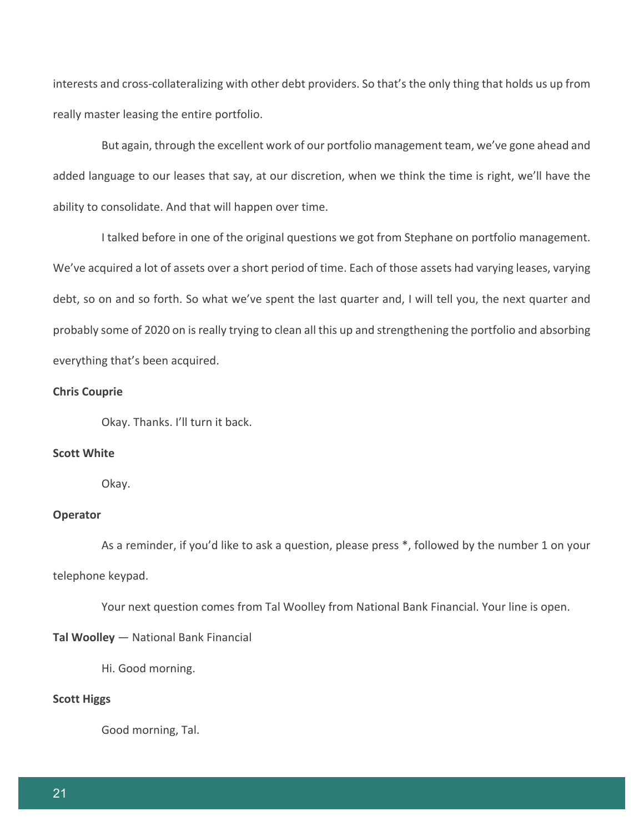interests and cross-collateralizing with other debt providers. So that's the only thing that holds us up from really master leasing the entire portfolio.

But again, through the excellent work of our portfolio management team, we've gone ahead and added language to our leases that say, at our discretion, when we think the time is right, we'll have the ability to consolidate. And that will happen over time.

I talked before in one of the original questions we got from Stephane on portfolio management. We've acquired a lot of assets over a short period of time. Each of those assets had varying leases, varying debt, so on and so forth. So what we've spent the last quarter and, I will tell you, the next quarter and probably some of 2020 on is really trying to clean all this up and strengthening the portfolio and absorbing everything that's been acquired.

#### **Chris Couprie**

Okay. Thanks. I'll turn it back.

# **Scott White**

Okay.

# **Operator**

As a reminder, if you'd like to ask a question, please press \*, followed by the number 1 on your telephone keypad.

Your next question comes from Tal Woolley from National Bank Financial. Your line is open.

# **Tal Woolley** — National Bank Financial

Hi. Good morning.

#### **Scott Higgs**

Good morning, Tal.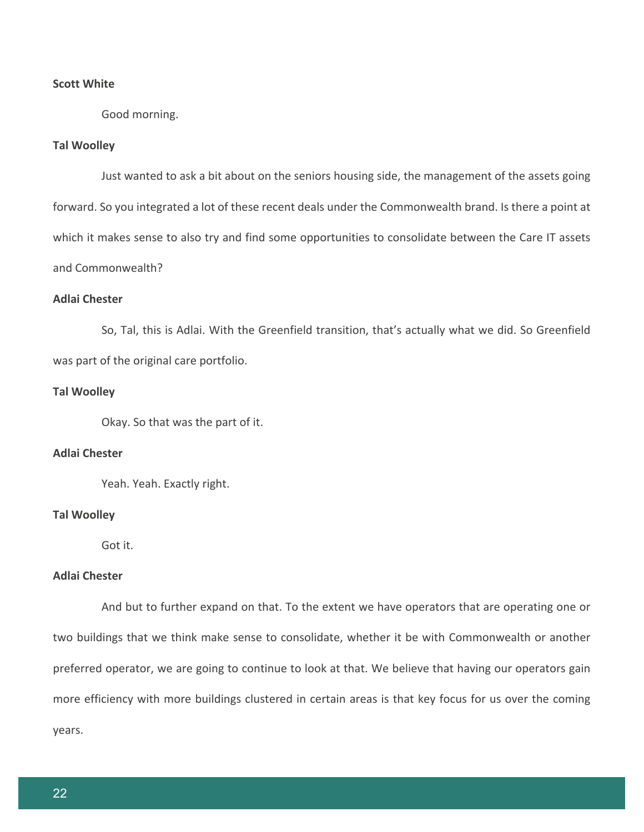## **Scott White**

Good morning.

#### **Tal Woolley**

Just wanted to ask a bit about on the seniors housing side, the management of the assets going forward. So you integrated a lot of these recent deals under the Commonwealth brand. Is there a point at which it makes sense to also try and find some opportunities to consolidate between the Care IT assets and Commonwealth?

# **Adlai Chester**

So, Tal, this is Adlai. With the Greenfield transition, that's actually what we did. So Greenfield was part of the original care portfolio.

#### **Tal Woolley**

Okay. So that was the part of it.

# **Adlai Chester**

Yeah. Yeah. Exactly right.

#### **Tal Woolley**

Got it.

# **Adlai Chester**

And but to further expand on that. To the extent we have operators that are operating one or two buildings that we think make sense to consolidate, whether it be with Commonwealth or another preferred operator, we are going to continue to look at that. We believe that having our operators gain more efficiency with more buildings clustered in certain areas is that key focus for us over the coming years.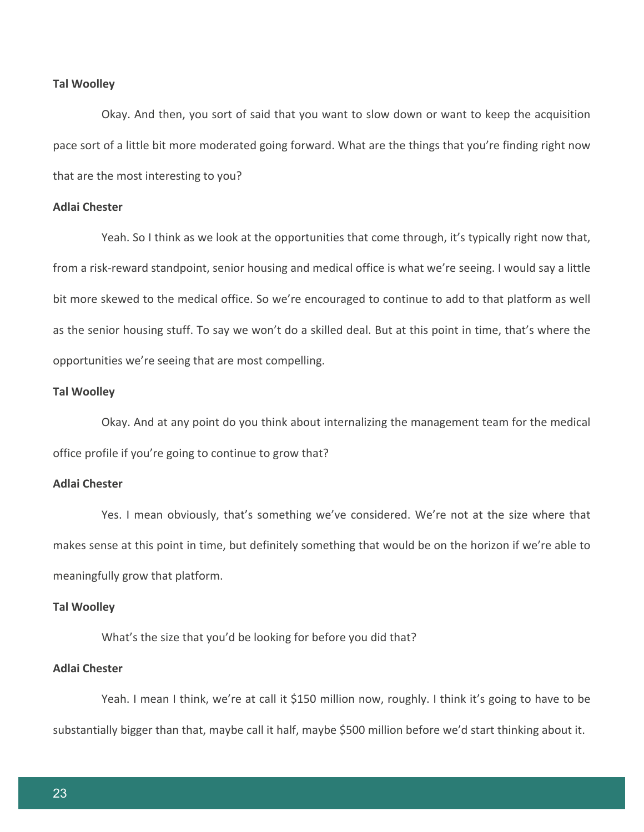#### **Tal Woolley**

Okay. And then, you sort of said that you want to slow down or want to keep the acquisition pace sort of a little bit more moderated going forward. What are the things that you're finding right now that are the most interesting to you?

#### **Adlai Chester**

Yeah. So I think as we look at the opportunities that come through, it's typically right now that, from a risk-reward standpoint, senior housing and medical office is what we're seeing. I would say a little bit more skewed to the medical office. So we're encouraged to continue to add to that platform as well as the senior housing stuff. To say we won't do a skilled deal. But at this point in time, that's where the opportunities we're seeing that are most compelling.

#### **Tal Woolley**

Okay. And at any point do you think about internalizing the management team for the medical office profile if you're going to continue to grow that?

## **Adlai Chester**

Yes. I mean obviously, that's something we've considered. We're not at the size where that makes sense at this point in time, but definitely something that would be on the horizon if we're able to meaningfully grow that platform.

#### **Tal Woolley**

What's the size that you'd be looking for before you did that?

## **Adlai Chester**

Yeah. I mean I think, we're at call it \$150 million now, roughly. I think it's going to have to be substantially bigger than that, maybe call it half, maybe \$500 million before we'd start thinking about it.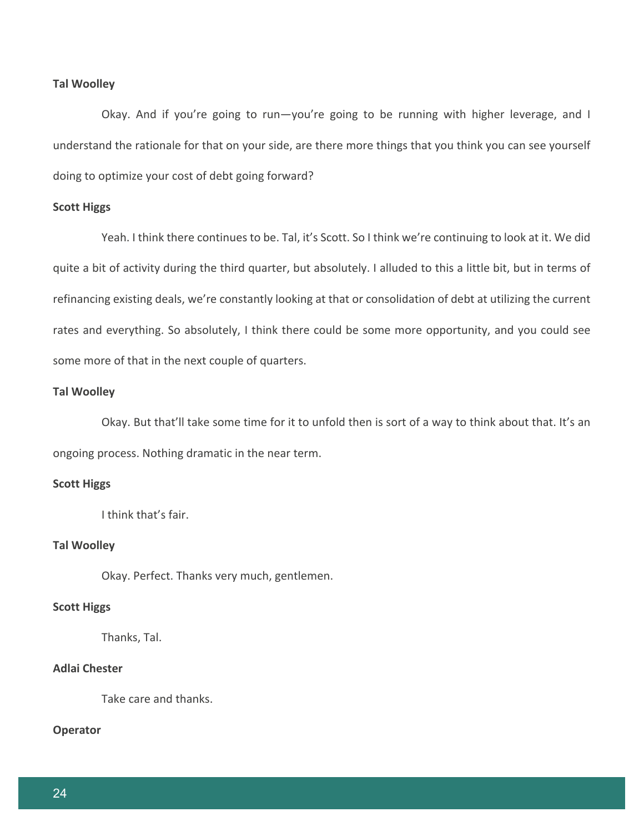## **Tal Woolley**

Okay. And if you're going to run—you're going to be running with higher leverage, and I understand the rationale for that on your side, are there more things that you think you can see yourself doing to optimize your cost of debt going forward?

# **Scott Higgs**

Yeah. I think there continues to be. Tal, it's Scott. So I think we're continuing to look at it. We did quite a bit of activity during the third quarter, but absolutely. I alluded to this a little bit, but in terms of refinancing existing deals, we're constantly looking at that or consolidation of debt at utilizing the current rates and everything. So absolutely, I think there could be some more opportunity, and you could see some more of that in the next couple of quarters.

# **Tal Woolley**

Okay. But that'll take some time for it to unfold then is sort of a way to think about that. It's an ongoing process. Nothing dramatic in the near term.

#### **Scott Higgs**

I think that's fair.

#### **Tal Woolley**

Okay. Perfect. Thanks very much, gentlemen.

#### **Scott Higgs**

Thanks, Tal.

# **Adlai Chester**

Take care and thanks.

# **Operator**